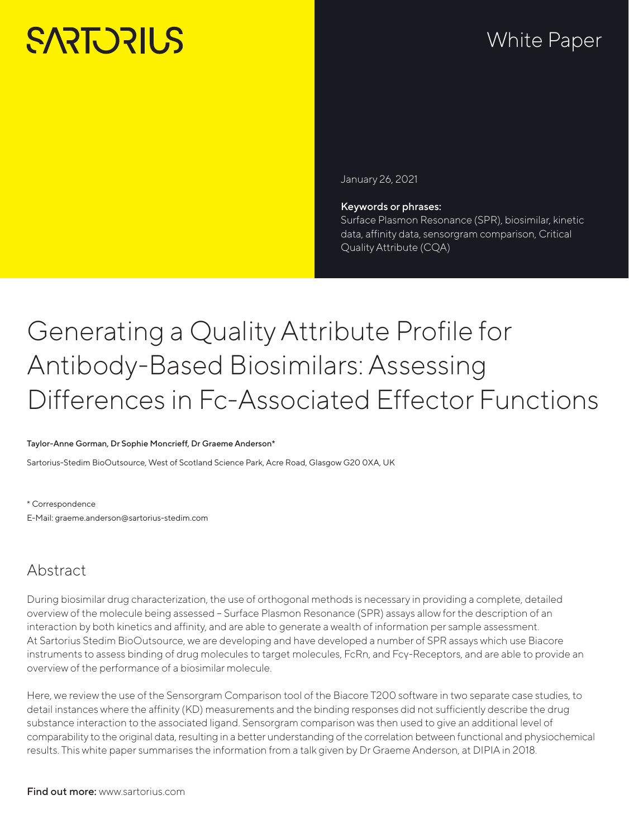# **SARTORILS**

## White Paper

January 26, 2021

#### Keywords or phrases:

Surface Plasmon Resonance (SPR), biosimilar, kinetic data, affinity data, sensorgram comparison, Critical Quality Attribute (CQA)

## Generating a Quality Attribute Profile for Antibody-Based Biosimilars: Assessing Differences in Fc-Associated Effector Functions

#### Taylor-Anne Gorman, Dr Sophie Moncrieff, Dr Graeme Anderson\*

Sartorius-Stedim BioOutsource, West of Scotland Science Park, Acre Road, Glasgow G20 0XA, UK

\* Correspondence E-Mail: graeme.anderson@sartorius-stedim.com

## Abstract

During biosimilar drug characterization, the use of orthogonal methods is necessary in providing a complete, detailed overview of the molecule being assessed – Surface Plasmon Resonance (SPR) assays allow for the description of an interaction by both kinetics and affinity, and are able to generate a wealth of information per sample assessment. At Sartorius Stedim BioOutsource, we are developing and have developed a number of SPR assays which use Biacore instruments to assess binding of drug molecules to target molecules, FcRn, and Fcγ-Receptors, and are able to provide an overview of the performance of a biosimilar molecule.

Here, we review the use of the Sensorgram Comparison tool of the Biacore T200 software in two separate case studies, to detail instances where the affinity (KD) measurements and the binding responses did not sufficiently describe the drug substance interaction to the associated ligand. Sensorgram comparison was then used to give an additional level of comparability to the original data, resulting in a better understanding of the correlation between functional and physiochemical results. This white paper summarises the information from a talk given by Dr Graeme Anderson, at DIPIA in 2018.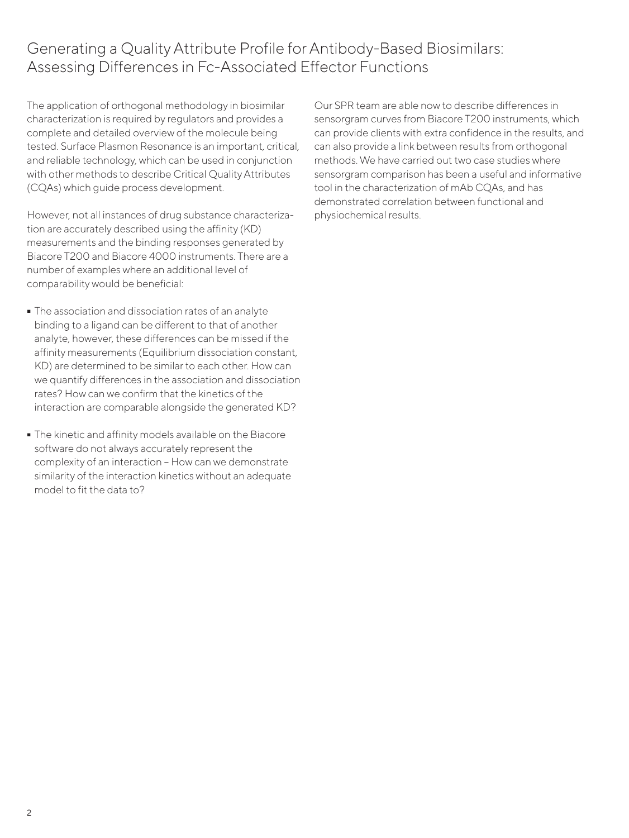## Generating a Quality Attribute Profile for Antibody-Based Biosimilars: Assessing Differences in Fc-Associated Effector Functions

The application of orthogonal methodology in biosimilar characterization is required by regulators and provides a complete and detailed overview of the molecule being tested. Surface Plasmon Resonance is an important, critical, and reliable technology, which can be used in conjunction with other methods to describe Critical Quality Attributes (CQAs) which guide process development.

However, not all instances of drug substance characterization are accurately described using the affinity (KD) measurements and the binding responses generated by Biacore T200 and Biacore 4000 instruments. There are a number of examples where an additional level of comparability would be beneficial:

- The association and dissociation rates of an analyte binding to a ligand can be different to that of another analyte, however, these differences can be missed if the affinity measurements (Equilibrium dissociation constant, KD) are determined to be similar to each other. How can we quantify differences in the association and dissociation rates? How can we confirm that the kinetics of the interaction are comparable alongside the generated KD?
- The kinetic and affinity models available on the Biacore software do not always accurately represent the complexity of an interaction – How can we demonstrate similarity of the interaction kinetics without an adequate model to fit the data to?

Our SPR team are able now to describe differences in sensorgram curves from Biacore T200 instruments, which can provide clients with extra confidence in the results, and can also provide a link between results from orthogonal methods. We have carried out two case studies where sensorgram comparison has been a useful and informative tool in the characterization of mAb CQAs, and has demonstrated correlation between functional and physiochemical results.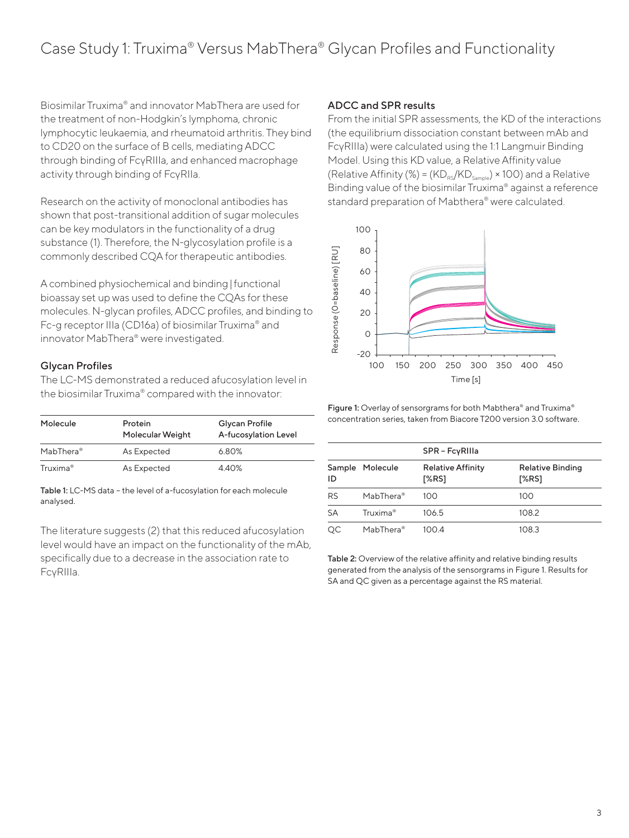## Case Study 1: Truxima® Versus MabThera® Glycan Profiles and Functionality

Biosimilar Truxima® and innovator MabThera are used for the treatment of non-Hodgkin's lymphoma, chronic lymphocytic leukaemia, and rheumatoid arthritis. They bind to CD20 on the surface of B cells, mediating ADCC through binding of FcγRIIIa, and enhanced macrophage activity through binding of FcγRIIa.

Research on the activity of monoclonal antibodies has shown that post-transitional addition of sugar molecules can be key modulators in the functionality of a drug substance (1). Therefore, the N-glycosylation profile is a commonly described CQA for therapeutic antibodies.

A combined physiochemical and binding|functional bioassay set up was used to define the CQAs for these molecules. N-glycan profiles, ADCC profiles, and binding to Fc-g receptor IIIa (CD16a) of biosimilar Truxima® and innovator MabThera® were investigated.

#### Glycan Profiles

The LC-MS demonstrated a reduced afucosylation level in the biosimilar Truxima® compared with the innovator:

| Molecule              | Protein<br>Molecular Weight | Glycan Profile<br>A-fucosylation Level |
|-----------------------|-----------------------------|----------------------------------------|
| MabThera <sup>®</sup> | As Expected                 | 6.80%                                  |
| Truxima <sup>®</sup>  | As Expected                 | 4.40%                                  |

Table 1: LC-MS data – the level of a-fucosylation for each molecule analysed.

The literature suggests (2) that this reduced afucosylation level would have an impact on the functionality of the mAb, specifically due to a decrease in the association rate to FcγRIIIa.

#### ADCC and SPR results

From the initial SPR assessments, the KD of the interactions (the equilibrium dissociation constant between mAb and FcγRIIIa) were calculated using the 1:1 Langmuir Binding Model. Using this KD value, a Relative Affinity value (Relative Affinity (%) =  $(KD_{\text{ps}}/KD_{\text{sample}}) \times 100$ ) and a Relative Binding value of the biosimilar Truxima® against a reference standard preparation of Mabthera® were calculated.



Figure 1: Overlay of sensorgrams for both Mabthera® and Truxima® concentration series, taken from Biacore T200 version 3.0 software.

|     |                       | SPR - FcyRilla                    |                                  |
|-----|-----------------------|-----------------------------------|----------------------------------|
| ID  | Sample Molecule       | <b>Relative Affinity</b><br>[%RS] | <b>Relative Binding</b><br>[%RS] |
| RS  | MabThera <sup>®</sup> | 100                               | 100                              |
| SА  | Truxima <sup>®</sup>  | 106.5                             | 108.2                            |
| OC. | MabThera <sup>®</sup> | 100.4                             | 108.3                            |

Table 2: Overview of the relative affinity and relative binding results generated from the analysis of the sensorgrams in Figure 1. Results for SA and QC given as a percentage against the RS material.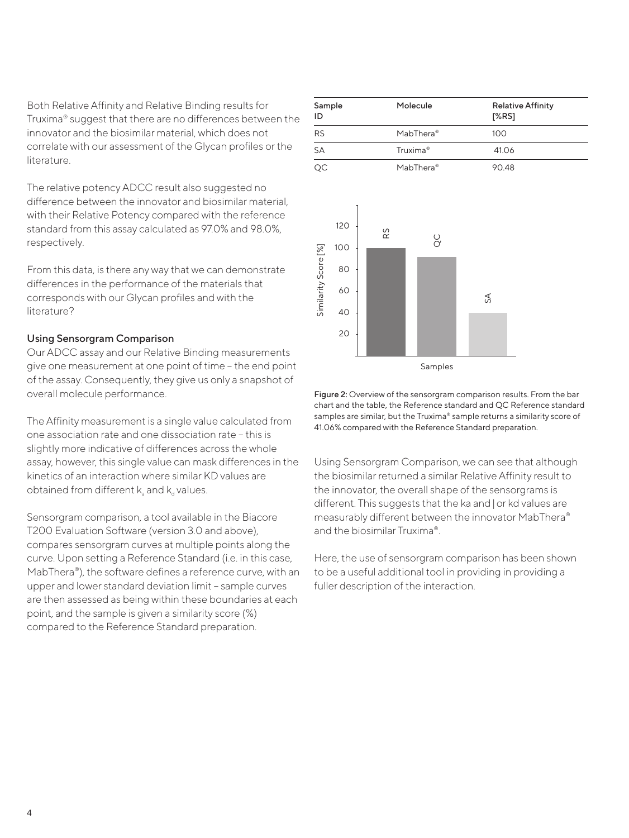Both Relative Affinity and Relative Binding results for Truxima® suggest that there are no differences between the innovator and the biosimilar material, which does not correlate with our assessment of the Glycan profiles or the literature.

The relative potency ADCC result also suggested no difference between the innovator and biosimilar material, with their Relative Potency compared with the reference standard from this assay calculated as 97.0% and 98.0%, respectively.

From this data, is there any way that we can demonstrate differences in the performance of the materials that corresponds with our Glycan profiles and with the literature?

#### Using Sensorgram Comparison

Our ADCC assay and our Relative Binding measurements give one measurement at one point of time – the end point of the assay. Consequently, they give us only a snapshot of overall molecule performance.

The Affinity measurement is a single value calculated from one association rate and one dissociation rate – this is slightly more indicative of differences across the whole assay, however, this single value can mask differences in the kinetics of an interaction where similar KD values are obtained from different  $k_a$  and  $k_a$  values.

Sensorgram comparison, a tool available in the Biacore T200 Evaluation Software (version 3.0 and above), compares sensorgram curves at multiple points along the curve. Upon setting a Reference Standard (i.e. in this case, MabThera<sup>®</sup>), the software defines a reference curve, with an upper and lower standard deviation limit – sample curves are then assessed as being within these boundaries at each point, and the sample is given a similarity score (%) compared to the Reference Standard preparation.

| Sample<br>ID         |                              |    | Molecule                 | <b>Relative Affinity</b><br>[%RS] |
|----------------------|------------------------------|----|--------------------------|-----------------------------------|
| <b>RS</b>            |                              |    | MabThera <sup>®</sup>    | 100                               |
| SA                   |                              |    | Truxima <sup>®</sup>     | 41.06                             |
| $\overline{QC}$      |                              |    | MabThera <sup>®</sup>    | 90.48                             |
| Similarity Score [%] | 120<br>100<br>80<br>60<br>40 | Rδ | $\overset{\circ}{\circ}$ | $\lesssim$                        |



20

Figure 2: Overview of the sensorgram comparison results. From the bar chart and the table, the Reference standard and QC Reference standard samples are similar, but the Truxima® sample returns a similarity score of 41.06% compared with the Reference Standard preparation.

Using Sensorgram Comparison, we can see that although the biosimilar returned a similar Relative Affinity result to the innovator, the overall shape of the sensorgrams is different. This suggests that the ka and|or kd values are measurably different between the innovator MabThera® and the biosimilar Truxima®.

Here, the use of sensorgram comparison has been shown to be a useful additional tool in providing in providing a fuller description of the interaction.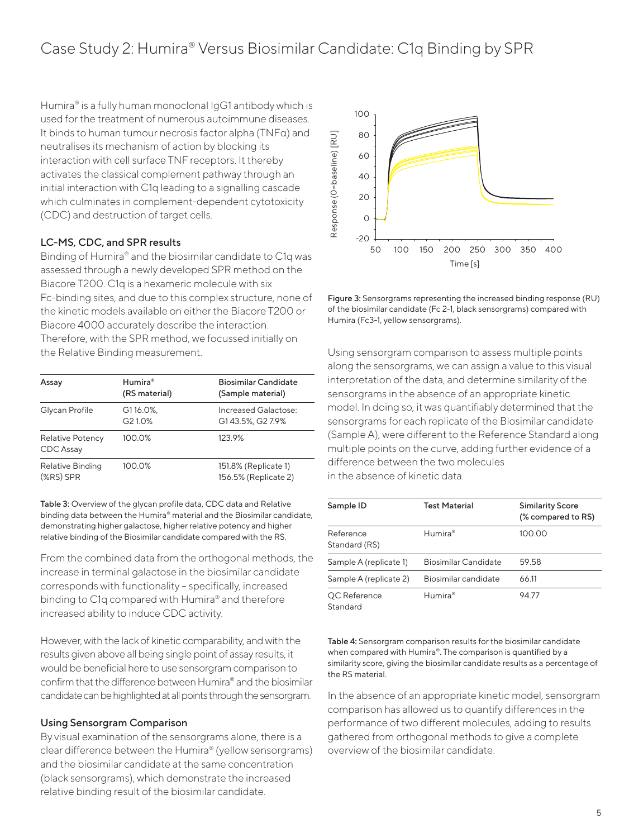## Case Study 2: Humira® Versus Biosimilar Candidate: C1q Binding by SPR

Humira® is a fully human monoclonal IgG1 antibody which is used for the treatment of numerous autoimmune diseases. It binds to human tumour necrosis factor alpha (TNFα) and neutralises its mechanism of action by blocking its interaction with cell surface TNF receptors. It thereby activates the classical complement pathway through an initial interaction with C1q leading to a signalling cascade which culminates in complement-dependent cytotoxicity (CDC) and destruction of target cells.

#### LC-MS, CDC, and SPR results

Binding of Humira® and the biosimilar candidate to C1q was assessed through a newly developed SPR method on the Biacore T200. C1q is a hexameric molecule with six Fc-binding sites, and due to this complex structure, none of the kinetic models available on either the Biacore T200 or Biacore 4000 accurately describe the interaction. Therefore, with the SPR method, we focussed initially on the Relative Binding measurement.

| Assay                                  | Humira®<br>(RS material)                    | <b>Biosimilar Candidate</b><br>(Sample material) |
|----------------------------------------|---------------------------------------------|--------------------------------------------------|
| Glycan Profile                         | G116.0%,<br>G <sub>2</sub> 1.0 <sup>%</sup> | Increased Galactose:<br>G143.5%, G27.9%          |
| <b>Relative Potency</b><br>CDC Assay   | 100.0%                                      | 123.9%                                           |
| <b>Relative Binding</b><br>$(XRS)$ SPR | 100.0%                                      | 151.8% (Replicate 1)<br>156.5% (Replicate 2)     |

Table 3: Overview of the glycan profile data, CDC data and Relative binding data between the Humira® material and the Biosimilar candidate, demonstrating higher galactose, higher relative potency and higher relative binding of the Biosimilar candidate compared with the RS.

From the combined data from the orthogonal methods, the increase in terminal galactose in the biosimilar candidate corresponds with functionality – specifically, increased binding to C1q compared with Humira® and therefore increased ability to induce CDC activity.

However, with the lack of kinetic comparability, and with the results given above all being single point of assay results, it would be beneficial here to use sensorgram comparison to confirm that the difference between Humira® and the biosimilar candidate can be highlighted at all points through the sensorgram.

#### Using Sensorgram Comparison

By visual examination of the sensorgrams alone, there is a clear difference between the Humira® (yellow sensorgrams) and the biosimilar candidate at the same concentration (black sensorgrams), which demonstrate the increased relative binding result of the biosimilar candidate.



Figure 3: Sensorgrams representing the increased binding response (RU) of the biosimilar candidate (Fc 2-1, black sensorgrams) compared with Humira (Fc3-1, yellow sensorgrams).

Using sensorgram comparison to assess multiple points along the sensorgrams, we can assign a value to this visual interpretation of the data, and determine similarity of the sensorgrams in the absence of an appropriate kinetic model. In doing so, it was quantifiably determined that the sensorgrams for each replicate of the Biosimilar candidate (Sample A), were different to the Reference Standard along multiple points on the curve, adding further evidence of a difference between the two molecules in the absence of kinetic data.

| Sample ID                  | Test Material        | <b>Similarity Score</b><br>(% compared to RS) |
|----------------------------|----------------------|-----------------------------------------------|
| Reference<br>Standard (RS) | Humira®              | 100.00                                        |
| Sample A (replicate 1)     | Biosimilar Candidate | 59.58                                         |
| Sample A (replicate 2)     | Biosimilar candidate | 66.11                                         |
| QC Reference<br>Standard   | Humira®              | 9477                                          |

Table 4: Sensorgram comparison results for the biosimilar candidate when compared with Humira®. The comparison is quantified by a similarity score, giving the biosimilar candidate results as a percentage of the RS material.

In the absence of an appropriate kinetic model, sensorgram comparison has allowed us to quantify differences in the performance of two different molecules, adding to results gathered from orthogonal methods to give a complete overview of the biosimilar candidate.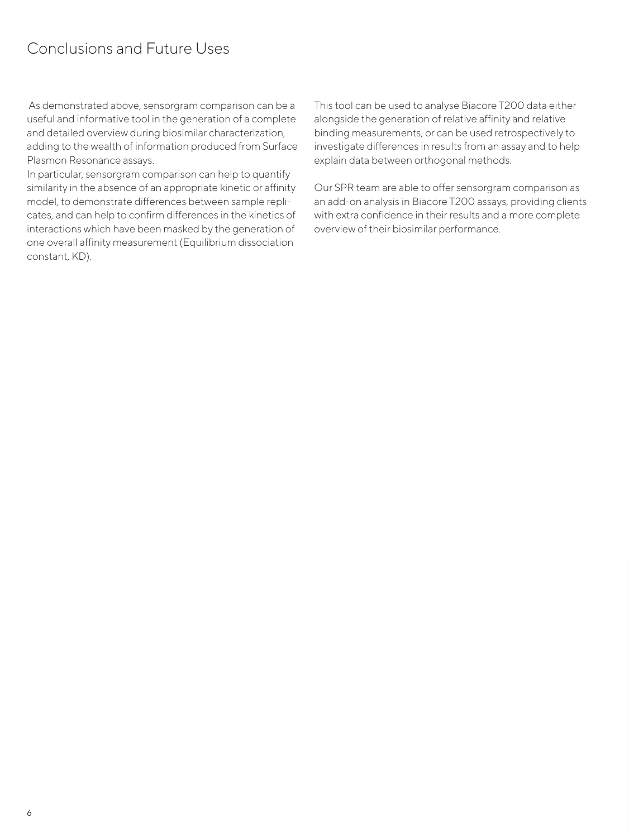## Conclusions and Future Uses

 As demonstrated above, sensorgram comparison can be a useful and informative tool in the generation of a complete and detailed overview during biosimilar characterization, adding to the wealth of information produced from Surface Plasmon Resonance assays.

In particular, sensorgram comparison can help to quantify similarity in the absence of an appropriate kinetic or affinity model, to demonstrate differences between sample replicates, and can help to confirm differences in the kinetics of interactions which have been masked by the generation of one overall affinity measurement (Equilibrium dissociation constant, KD).

This tool can be used to analyse Biacore T200 data either alongside the generation of relative affinity and relative binding measurements, or can be used retrospectively to investigate differences in results from an assay and to help explain data between orthogonal methods.

Our SPR team are able to offer sensorgram comparison as an add-on analysis in Biacore T200 assays, providing clients with extra confidence in their results and a more complete overview of their biosimilar performance.